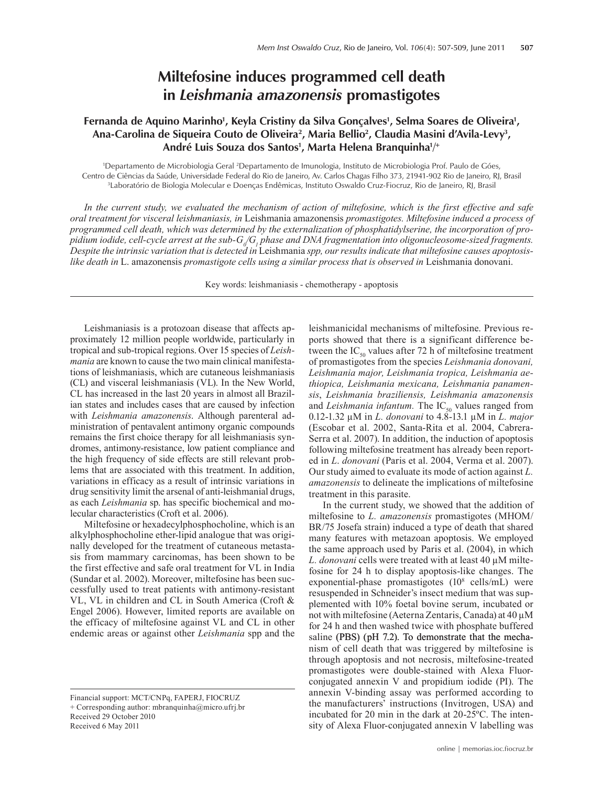## **Miltefosine induces programmed cell death in** *Leishmania amazonensis* **promastigotes**

## Fernanda de Aquino Marinho<sup>1</sup>, Keyla Cristiny da Silva Gonçalves<sup>1</sup>, Selma Soares de Oliveira<sup>1</sup>, Ana-Carolina de Siqueira Couto de Oliveira<sup>2</sup>, Maria Bellio<sup>2</sup>, Claudia Masini d'Avila-Levy<sup>3</sup>, André Luis Souza dos Santos<sup>1</sup>, Marta Helena Branquinha<sup>1/+</sup>

1 Departamento de Microbiologia Geral 2 Departamento de Imunologia, Instituto de Microbiologia Prof. Paulo de Góes, Centro de Ciências da Saúde, Universidade Federal do Rio de Janeiro, Av. Carlos Chagas Filho 373, 21941-902 Rio de Janeiro, RJ, Brasil 3 Laboratório de Biologia Molecular e Doenças Endêmicas, Instituto Oswaldo Cruz-Fiocruz, Rio de Janeiro, RJ, Brasil

In the current study, we evaluated the mechanism of action of miltefosine, which is the first effective and safe *oral treatment for visceral leishmaniasis, in* Leishmania amazonensis *promastigotes. Miltefosine induced a process of programmed cell death, which was determined by the externalization of phosphatidylserine, the incorporation of pro*pidium iodide, cell-cycle arrest at the sub-G<sub>d</sub>G<sub>1</sub> phase and DNA fragmentation into oligonucleosome-sized fragments. *Despite the intrinsic variation that is detected in* Leishmania *spp, our results indicate that miltefosine causes apoptosislike death in* L. amazonensis *promastigote cells using a similar process that is observed in* Leishmania donovani.

Key words: leishmaniasis - chemotherapy - apoptosis

Leishmaniasis is a protozoan disease that affects approximately 12 million people worldwide, particularly in tropical and sub-tropical regions. Over 15 species of *Leishmania* are known to cause the two main clinical manifestations of leishmaniasis, which are cutaneous leishmaniasis (CL) and visceral leishmaniasis (VL). In the New World, CL has increased in the last 20 years in almost all Brazilian states and includes cases that are caused by infection with *Leishmania amazonensis*. Although parenteral administration of pentavalent antimony organic compounds remains the first choice therapy for all leishmaniasis syndromes, antimony-resistance, low patient compliance and the high frequency of side effects are still relevant problems that are associated with this treatment. In addition, variations in efficacy as a result of intrinsic variations in drug sensitivity limit the arsenal of anti-leishmanial drugs, as each *Leishmania* sp. has specific biochemical and molecular characteristics (Croft et al. 2006).

Miltefosine or hexadecylphosphocholine, which is an alkylphosphocholine ether-lipid analogue that was originally developed for the treatment of cutaneous metastasis from mammary carcinomas, has been shown to be the first effective and safe oral treatment for VL in India (Sundar et al. 2002). Moreover, miltefosine has been successfully used to treat patients with antimony-resistant VL, VL in children and CL in South America (Croft & Engel 2006). However, limited reports are available on the efficacy of miltefosine against VL and CL in other endemic areas or against other *Leishmania* spp and the

Financial support: MCT/CNPq, FAPERJ, FIOCRUZ + Corresponding author: mbranquinha@micro.ufrj.br Received 29 October 2010 Received 6 May 2011

leishmanicidal mechanisms of miltefosine. Previous reports showed that there is a significant difference between the  $IC_{50}$  values after 72 h of miltefosine treatment of promastigotes from the species *Leishmania donovani, Leishmania major, Leishmania tropica, Leishmania aethiopica, Leishmania mexicana, Leishmania panamensis*, *Leishmania braziliensis, Leishmania amazonensis*  and *Leishmania infantum*. The IC<sub>50</sub> values ranged from 0.12-1.32 µM in *L. donovani* to 4.8-13.1 µM in *L. major* (Escobar et al. 2002, Santa-Rita et al. 2004, Cabrera-Serra et al. 2007). In addition, the induction of apoptosis following miltefosine treatment has already been reported in *L*. *donovani* (Paris et al. 2004, Verma et al. 2007). Our study aimed to evaluate its mode of action against *L. amazonensis* to delineate the implications of miltefosine treatment in this parasite.

In the current study, we showed that the addition of miltefosine to *L. amazonensis* promastigotes (MHOM/ BR/75 Josefa strain) induced a type of death that shared many features with metazoan apoptosis. We employed the same approach used by Paris et al. (2004), in which *L. donovani* cells were treated with at least 40 µM miltefosine for 24 h to display apoptosis-like changes. The exponential-phase promastigotes (10<sup>8</sup> cells/mL) were resuspended in Schneider's insect medium that was supplemented with 10% foetal bovine serum, incubated or not with miltefosine (Aeterna Zentaris, Canada) at 40 µM for 24 h and then washed twice with phosphate buffered saline (PBS) ( $pH$  7.2). To demonstrate that the mechanism of cell death that was triggered by miltefosine is through apoptosis and not necrosis, miltefosine-treated promastigotes were double-stained with Alexa Fluorconjugated annexin V and propidium iodide (PI). The annexin V-binding assay was performed according to the manufacturers' instructions (Invitrogen, USA) and incubated for 20 min in the dark at 20-25ºC. The intensity of Alexa Fluor-conjugated annexin V labelling was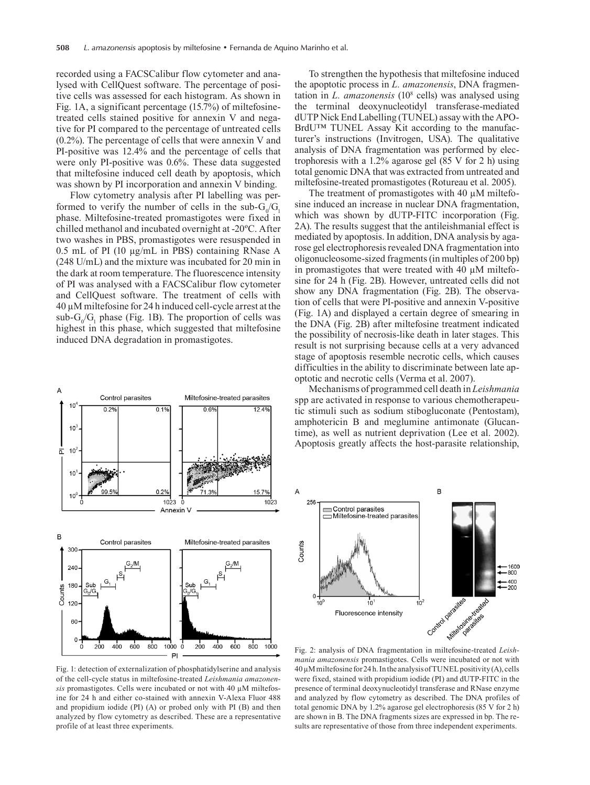recorded using a FACSCalibur flow cytometer and analysed with CellQuest software. The percentage of positive cells was assessed for each histogram. As shown in Fig. 1A, a significant percentage (15.7%) of miltefosinetreated cells stained positive for annexin V and negative for PI compared to the percentage of untreated cells (0.2%). The percentage of cells that were annexin V and PI-positive was 12.4% and the percentage of cells that were only PI-positive was 0.6%. These data suggested that miltefosine induced cell death by apoptosis, which was shown by PI incorporation and annexin V binding.

Flow cytometry analysis after PI labelling was performed to verify the number of cells in the sub- $G_0/G_1$ phase. Miltefosine-treated promastigotes were fixed in chilled methanol and incubated overnight at -20ºC. After two washes in PBS, promastigotes were resuspended in 0.5 ml of PI (10 µg/ml in PBS) containing RNase A (248 U/ml) and the mixture was incubated for 20 min in the dark at room temperature. The fluorescence intensity of PI was analysed with a FACSCalibur flow cytometer and CellQuest software. The treatment of cells with 40 µM miltefosine for 24 h induced cell-cycle arrest at the sub- $G_0/G_1$  phase (Fig. 1B). The proportion of cells was highest in this phase, which suggested that miltefosine induced DNA degradation in promastigotes.



Fig. 1: detection of externalization of phosphatidylserine and analysis of the cell-cycle status in miltefosine-treated *Leishmania amazonensis* promastigotes. Cells were incubated or not with 40 µM miltefosine for 24 h and either co-stained with annexin V-Alexa Fluor 488 and propidium iodide (PI) (A) or probed only with PI (B) and then analyzed by flow cytometry as described. These are a representative profile of at least three experiments.

To strengthen the hypothesis that miltefosine induced the apoptotic process in *L. amazonensis*, DNA fragmentation in *L. amazonensis* (108 cells) was analysed using the terminal deoxynucleotidyl transferase-mediated dUTP Nick End Labelling (TUNEL) assay with the APO-BrdU™ TUNEL Assay Kit according to the manufacturer's instructions (Invitrogen, USA). The qualitative analysis of DNA fragmentation was performed by electrophoresis with a  $1.2\%$  agarose gel (85 V for 2 h) using total genomic DNA that was extracted from untreated and miltefosine-treated promastigotes (Rotureau et al. 2005).

The treatment of promastigotes with 40  $\mu$ M miltefosine induced an increase in nuclear DNA fragmentation, which was shown by dUTP-FITC incorporation (Fig. 2A). The results suggest that the antileishmanial effect is mediated by apoptosis. In addition, DNA analysis by agarose gel electrophoresis revealed DNA fragmentation into oligonucleosome-sized fragments (in multiples of 200 bp) in promastigotes that were treated with 40 µM miltefosine for 24 h (Fig. 2B). However, untreated cells did not show any DNA fragmentation (Fig. 2B). The observation of cells that were PI-positive and annexin V-positive (Fig. 1A) and displayed a certain degree of smearing in the DNA (Fig. 2B) after miltefosine treatment indicated the possibility of necrosis-like death in later stages. This result is not surprising because cells at a very advanced stage of apoptosis resemble necrotic cells, which causes difficulties in the ability to discriminate between late apoptotic and necrotic cells (Verma et al. 2007).

Mechanisms of programmed cell death in *Leishmania*  spp are activated in response to various chemotherapeutic stimuli such as sodium stibogluconate (Pentostam), amphotericin B and meglumine antimonate (Glucantime), as well as nutrient deprivation (Lee et al. 2002). Apoptosis greatly affects the host-parasite relationship,



*mania amazonensis* promastigotes. Cells were incubated or not with 40 µM miltefosine for 24 h. In the analysis of TUNEL positivity (A), cells were fixed, stained with propidium iodide (PI) and dUTP-FITC in the presence of terminal deoxynucleotidyl transferase and RNase enzyme and analyzed by flow cytometry as described. The DNA profiles of total genomic DNA by 1.2% agarose gel electrophoresis (85 V for 2 h) are shown in B. The DNA fragments sizes are expressed in bp. The results are representative of those from three independent experiments.